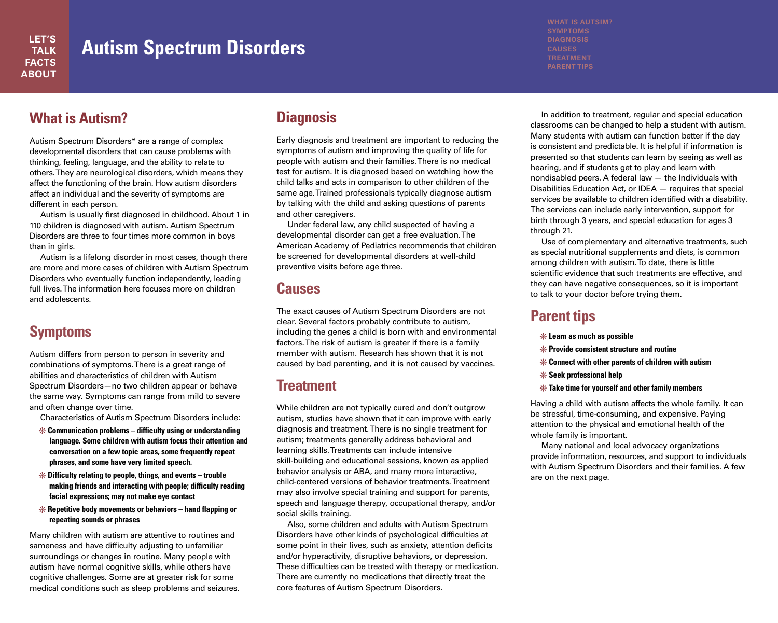## **Autism Spectrum Disorders**

#### **What is Autism?**

Autism Spectrum Disorders\* are a range of complex developmental disorders that can cause problems with thinking, feeling, language, and the ability to relate to others.They are neurological disorders, which means they affect the functioning of the brain. How autism disorders affect an individual and the severity of symptoms are different in each person.

Autism is usually first diagnosed in childhood. About 1 in 110 children is diagnosed with autism. Autism Spectrum Disorders are three to four times more common in boys than in girls.

Autism is a lifelong disorder in most cases, though there are more and more cases of children with Autism Spectrum Disorders who eventually function independently, leading full lives.The information here focuses more on children and adolescents.

#### **Symptoms**

Autism differs from person to person in severity and combinations of symptoms.There is a great range of abilities and characteristics of children with Autism Spectrum Disorders—no two children appear or behave the same way. Symptoms can range from mild to severe and often change over time.

Characteristics of Autism Spectrum Disorders include:

- **Communication problems – difficulty using or understanding language. Some children with autism focus their attention and conversation on a few topic areas, some frequently repeat phrases, and some have very limited speech.**
- **Difficulty relating to people, things, and events – trouble making friends and interacting with people; difficulty reading facial expressions; may not make eye contact**
- **Repetitive body movements or behaviors – hand flapping or repeating sounds or phrases**

Many children with autism are attentive to routines and sameness and have difficulty adjusting to unfamiliar surroundings or changes in routine. Many people with autism have normal cognitive skills, while others have cognitive challenges. Some are at greater risk for some medical conditions such as sleep problems and seizures.

#### **Diagnosis**

Early diagnosis and treatment are important to reducing the symptoms of autism and improving the quality of life for people with autism and their families.There is no medical test for autism. It is diagnosed based on watching how the child talks and acts in comparison to other children of the same age.Trained professionals typically diagnose autism by talking with the child and asking questions of parents and other caregivers.

Under federal law, any child suspected of having a developmental disorder can get a free evaluation.The American Academy of Pediatrics recommends that children be screened for developmental disorders at well-child preventive visits before age three.

#### **Causes**

The exact causes of Autism Spectrum Disorders are not clear. Several factors probably contribute to autism, including the genes a child is born with and environmental factors.The risk of autism is greater if there is a family member with autism. Research has shown that it is not caused by bad parenting, and it is not caused by vaccines.

#### **Treatment**

While children are not typically cured and don't outgrow autism, studies have shown that it can improve with early diagnosis and treatment.There is no single treatment for autism; treatments generally address behavioral and learning skills.Treatments can include intensive skill-building and educational sessions, known as applied behavior analysis or ABA, and many more interactive, child-centered versions of behavior treatments.Treatment may also involve special training and support for parents, speech and language therapy, occupational therapy, and/or social skills training.

Also, some children and adults with Autism Spectrum Disorders have other kinds of psychological difficulties at some point in their lives, such as anxiety, attention deficits and/or hyperactivity, disruptive behaviors, or depression. These difficulties can be treated with therapy or medication. There are currently no medications that directly treat the core features of Autism Spectrum Disorders.

**SYMPTOMS DIAGNOSIS TREATMENT PARENT TIPS**

In addition to treatment, regular and special education classrooms can be changed to help a student with autism. Many students with autism can function better if the day is consistent and predictable. It is helpful if information is presented so that students can learn by seeing as well as hearing, and if students get to play and learn with nondisabled peers. A federal law — the Individuals with Disabilities Education Act, or IDEA — requires that special services be available to children identified with a disability. The services can include early intervention, support for birth through 3 years, and special education for ages 3 through 21.

Use of complementary and alternative treatments, such as special nutritional supplements and diets, is common among children with autism.To date, there is little scientific evidence that such treatments are effective, and they can have negative consequences, so it is important to talk to your doctor before trying them.

#### **Parent tips**

- **Learn as much as possible**
- **Provide consistent structure and routine**
- **Connect with other parents of children with autism**
- **Seek professional help**
- **Take time for yourself and other family members**

Having a child with autism affects the whole family. It can be stressful, time-consuming, and expensive. Paying attention to the physical and emotional health of the whole family is important.

Many national and local advocacy organizations provide information, resources, and support to individuals with Autism Spectrum Disorders and their families. A few are on the next page.